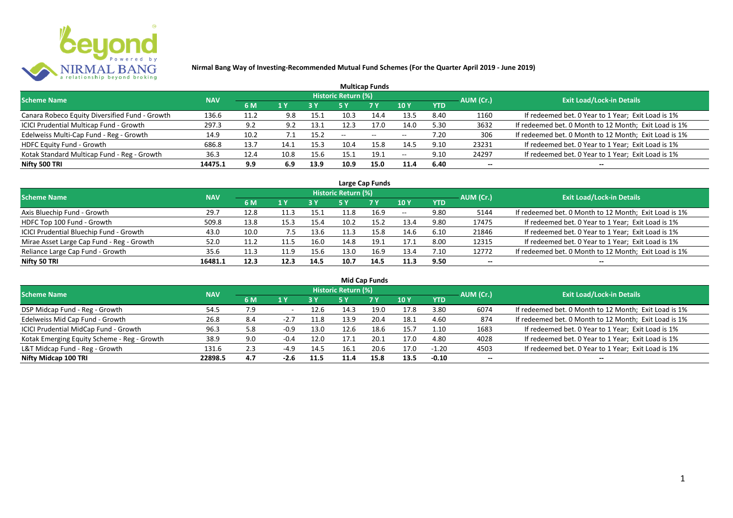

|                                                |            |      |      |      |                            | <b>Multicap Funds</b>    |                          |            |           |                                                       |
|------------------------------------------------|------------|------|------|------|----------------------------|--------------------------|--------------------------|------------|-----------|-------------------------------------------------------|
| <b>Scheme Name</b>                             | <b>NAV</b> |      |      |      | <b>Historic Return (%)</b> |                          |                          |            | AUM (Cr.) | <b>Exit Load/Lock-in Details</b>                      |
|                                                |            | 6 M  | 1 Y  | 8 Y  |                            | <b>7 Y</b>               | <b>10Y</b>               | <b>YTD</b> |           |                                                       |
| Canara Robeco Equity Diversified Fund - Growth | 136.6      | 11.2 | 9.8  | 15.1 | 10.3                       | 14.4                     | 13.5                     | 8.40       | 1160      | If redeemed bet. 0 Year to 1 Year; Exit Load is 1%    |
| ICICI Prudential Multicap Fund - Growth        | 297.3      | 9.2  | 9.2  | 13.1 | 12.3                       | 17.0                     | 14.0                     | 5.30       | 3632      | If redeemed bet. 0 Month to 12 Month; Exit Load is 1% |
| Edelweiss Multi-Cap Fund - Reg - Growth        | 14.9       | 10.2 |      | 15.2 | $- -$                      | $\overline{\phantom{a}}$ | $\overline{\phantom{m}}$ | 7.20       | 306       | If redeemed bet. 0 Month to 12 Month; Exit Load is 1% |
| <b>HDFC Equity Fund - Growth</b>               | 686.8      | 13.7 | 14.1 | 15.3 | 10.4                       | 15.8                     | 14.5                     | 9.10       | 23231     | If redeemed bet. 0 Year to 1 Year; Exit Load is 1%    |
| Kotak Standard Multicap Fund - Reg - Growth    | 36.3       | 12.4 | 10.8 | 15.6 | 15.1                       | 19.1                     | $\overline{\phantom{a}}$ | 9.10       | 24297     | If redeemed bet. 0 Year to 1 Year; Exit Load is 1%    |
| Nifty 500 TRI                                  | 14475.1    | 9.9  | 6.9  | 13.9 | 10.9                       | 15.0                     | 11.4                     | 6.40       | $- -$     | --                                                    |

| Large Cap Funds                           |            |      |                  |      |                     |           |            |            |           |                                                       |  |  |  |
|-------------------------------------------|------------|------|------------------|------|---------------------|-----------|------------|------------|-----------|-------------------------------------------------------|--|--|--|
| Scheme Name                               | <b>NAV</b> |      |                  |      | Historic Return (%) |           |            |            | AUM (Cr.) | <b>Exit Load/Lock-in Details</b>                      |  |  |  |
|                                           |            | 6 M  | $\overline{1}$ Y |      | 5 Y                 | <b>7Y</b> | <b>10Y</b> | <b>YTD</b> |           |                                                       |  |  |  |
| Axis Bluechip Fund - Growth               | 29.7       | 12.8 |                  | 15.1 |                     | 16.9      | $- -$      | 9.80       | 5144      | If redeemed bet. 0 Month to 12 Month; Exit Load is 1% |  |  |  |
| HDFC Top 100 Fund - Growth                | 509.8      | 13.8 | 15.3             | 15.4 | 10.2                | 15.2      | 13.4       | 9.80       | 17475     | If redeemed bet. 0 Year to 1 Year; Exit Load is 1%    |  |  |  |
| ICICI Prudential Bluechip Fund - Growth   | 43.0       | 10.0 | 7.5              | 13.6 | 11.3                | 15.8      | 14.6       | 6.10       | 21846     | If redeemed bet. 0 Year to 1 Year; Exit Load is 1%    |  |  |  |
| Mirae Asset Large Cap Fund - Reg - Growth | 52.0       | 11.2 | 11.5             | 16.0 | 14.8                | 19.1      | 17.1       | 8.00       | 12315     | If redeemed bet. 0 Year to 1 Year; Exit Load is 1%    |  |  |  |
| Reliance Large Cap Fund - Growth          | 35.6       | 11.3 | 11.9             | 15.6 | 13.0                | 16.9      | 13.4       | 7.10       | 12772     | If redeemed bet. 0 Month to 12 Month; Exit Load is 1% |  |  |  |
| Nifty 50 TRI                              | 16481.1    | 12.3 | 12.3             | 14.5 | 10.7                | 14.5      | 11.3       | 9.50       |           |                                                       |  |  |  |

| <b>Mid Cap Funds</b>                        |            |     |                |            |                            |       |      |            |                          |                                                       |  |  |  |
|---------------------------------------------|------------|-----|----------------|------------|----------------------------|-------|------|------------|--------------------------|-------------------------------------------------------|--|--|--|
| Scheme Name                                 | <b>NAV</b> |     |                |            | <b>Historic Return (%)</b> |       |      |            | AUM (Cr.)                | <b>Exit Load/Lock-in Details</b>                      |  |  |  |
|                                             |            | 6 M | 1 <sup>Y</sup> | <b>3 Y</b> | 5 Y                        | 7 Y   | 10 Y | <b>YTD</b> |                          |                                                       |  |  |  |
| DSP Midcap Fund - Reg - Growth              | 54.5       | 7.9 |                | 12.6       | 14.3                       | 19.0  | 17.8 | 3.80       | 6074                     | If redeemed bet. 0 Month to 12 Month; Exit Load is 1% |  |  |  |
| Edelweiss Mid Cap Fund - Growth             | 26.8       | 8.4 | $-2.7$         | 11.8       | 13.9                       | 20.4  | 18.1 | 4.60       | 874                      | If redeemed bet. 0 Month to 12 Month; Exit Load is 1% |  |  |  |
| ICICI Prudential MidCap Fund - Growth       | 96.3       | 5.8 | $-0.9$         | 13.0       | 12.6                       | 18.6  | 15.7 | 1.10       | 1683                     | If redeemed bet. 0 Year to 1 Year; Exit Load is 1%    |  |  |  |
| Kotak Emerging Equity Scheme - Reg - Growth | 38.9       | 9.0 | $-0.4$         | 12.0       | 17.1                       | -20.1 | 17.0 | 4.80       | 4028                     | If redeemed bet. 0 Year to 1 Year; Exit Load is 1%    |  |  |  |
| L&T Midcap Fund - Reg - Growth              | 131.6      | 2.3 | $-4.9$         | 14.5       | 16.1                       | 20.6  | 17.0 | $-1.20$    | 4503                     | If redeemed bet. 0 Year to 1 Year; Exit Load is 1%    |  |  |  |
| Nifty Midcap 100 TRI                        | 22898.5    | 4.7 | $-2.6$         | 11.5       | 11.4                       | 15.8  | 13.5 | $-0.10$    | $\overline{\phantom{a}}$ | --                                                    |  |  |  |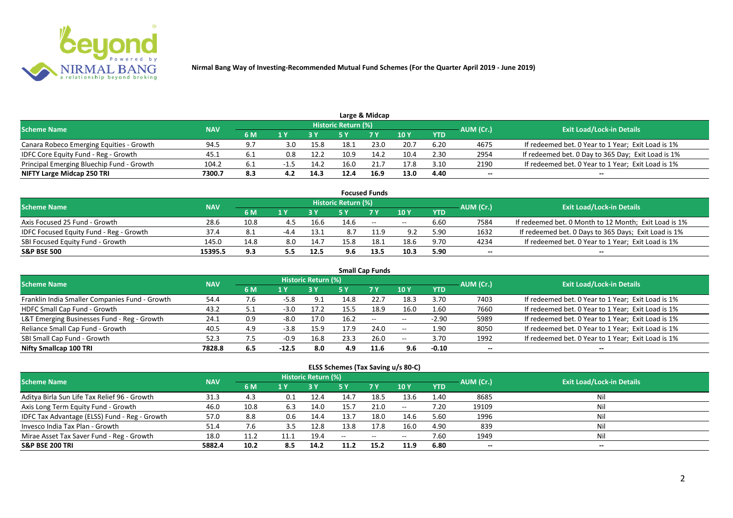

|                                           |            |     |     |      |                            | Large & Midcap |      |            |           |                                                    |
|-------------------------------------------|------------|-----|-----|------|----------------------------|----------------|------|------------|-----------|----------------------------------------------------|
| <b>Scheme Name</b>                        | <b>NAV</b> |     |     |      | <b>Historic Return (%)</b> |                |      |            | AUM (Cr.) | <b>Exit Load/Lock-in Details</b>                   |
|                                           |            | 6 M |     |      |                            | 7 <sub>Y</sub> | 10 Y | <b>YTD</b> |           |                                                    |
| Canara Robeco Emerging Equities - Growth  | 94.5       | 9.7 | 3.0 | 15.8 | 18.1                       | 23.0           | 20.7 | 6.20       | 4675      | If redeemed bet. 0 Year to 1 Year; Exit Load is 1% |
| IDFC Core Equity Fund - Reg - Growth      | 45.1       |     | 0.8 | 12.2 | 10.9                       | 14.2           | 10.4 | 2.30       | 2954      | If redeemed bet. 0 Day to 365 Day; Exit Load is 1% |
| Principal Emerging Bluechip Fund - Growth | 104.2      |     |     | 14.2 | 16.0                       |                | 17.8 | 3.10       | 2190      | If redeemed bet. 0 Year to 1 Year; Exit Load is 1% |
| NIFTY Large Midcap 250 TRI                | 7300.7     | 8.3 |     | 14.3 | 12.4                       | 16.9           | 13.0 | 4.40       | --        | $- -$                                              |

|                                                |            |      |        |      |                     | <b>Focused Funds</b> |       |            |           |                                                       |
|------------------------------------------------|------------|------|--------|------|---------------------|----------------------|-------|------------|-----------|-------------------------------------------------------|
| <b>Scheme Name</b>                             | <b>NAV</b> |      |        |      | Historic Return (%) |                      |       |            | AUM (Cr.) | <b>Exit Load/Lock-in Details</b>                      |
|                                                |            | 6 M  | 1 V    |      |                     | 7 Y                  | 10Y   | <b>YTD</b> |           |                                                       |
| Axis Focused 25 Fund - Growth                  | 28.6       | 10.8 | 4.5    | 16.6 | 14.6                | $\sim$               | $- -$ | 6.60       | 7584      | If redeemed bet. 0 Month to 12 Month; Exit Load is 1% |
| <b>IDFC Focused Equity Fund - Reg - Growth</b> | 37.4       | 8.1  | $-4.4$ | 13.1 | 8.7                 |                      | 9.2   | 5.90       | 1632      | If redeemed bet. 0 Days to 365 Days; Exit Load is 1%  |
| SBI Focused Equity Fund - Growth               | 145.0      | 14.8 | 8.0    | 14.7 | 15.8                | 18.1                 | 18.6  | 9.70       | 4234      | If redeemed bet. 0 Year to 1 Year; Exit Load is 1%    |
| <b>S&amp;P BSE 500</b>                         | 15395.5    | 9.3  | 5.5    | 12.5 | 9.6                 | 13.5                 | 10.3  | 5.90       | --        | --                                                    |

| <b>Small Cap Funds</b>                         |            |     |         |                            |      |           |            |            |           |                                                    |  |  |  |
|------------------------------------------------|------------|-----|---------|----------------------------|------|-----------|------------|------------|-----------|----------------------------------------------------|--|--|--|
| <b>Scheme Name</b>                             | <b>NAV</b> |     |         | <b>Historic Return (%)</b> |      |           |            |            | AUM (Cr.) | <b>Exit Load/Lock-in Details</b>                   |  |  |  |
|                                                |            | 6 M | 1 Y     |                            | 5 Y  | <b>7Y</b> | 10Y        | <b>YTD</b> |           |                                                    |  |  |  |
| Franklin India Smaller Companies Fund - Growth | 54.4       | 7.6 | $-5.8$  | 9.1                        | 14.8 | 22.7      | 18.3       | 3.70       | 7403      | If redeemed bet. 0 Year to 1 Year; Exit Load is 1% |  |  |  |
| HDFC Small Cap Fund - Growth                   | 43.2       | 5.1 | $-3.0$  | 17.2                       | 15.5 | 18.9      | 16.0       | 1.60       | 7660      | If redeemed bet. 0 Year to 1 Year; Exit Load is 1% |  |  |  |
| L&T Emerging Businesses Fund - Reg - Growth    | 24.1       | 0.9 | $-8.0$  | 17.0                       | 16.2 | $\sim$    | $\sim$ $-$ | $-2.90$    | 5989      | If redeemed bet. 0 Year to 1 Year; Exit Load is 1% |  |  |  |
| Reliance Small Cap Fund - Growth               | 40.5       | 4.9 | $-3.8$  | 15.9                       | 17.9 | 24.0      | $\sim$ $-$ | 1.90       | 8050      | If redeemed bet. 0 Year to 1 Year; Exit Load is 1% |  |  |  |
| SBI Small Cap Fund - Growth                    | 52.3       |     | $-0.9$  | 16.8                       | 23.3 | 26.0      | $- -$      | 3.70       | 1992      | If redeemed bet. 0 Year to 1 Year; Exit Load is 1% |  |  |  |
| Nifty Smallcap 100 TRI                         | 7828.8     | 6.5 | $-12.5$ | 8.0                        | 4.9  | 11.6      | 9.6        | $-0.10$    | $- -$     | --                                                 |  |  |  |

#### **ELSS Schemes (Tax Saving u/s 80-C)**

| <b>Scheme Name</b>                            | <b>NAV</b> |      |     | Historic Return (%) |      |            |                 |            | AUM (Cr.) | <b>Exit Load/Lock-in Details</b> |
|-----------------------------------------------|------------|------|-----|---------------------|------|------------|-----------------|------------|-----------|----------------------------------|
|                                               |            | 6 M  | 1 Y |                     | 5 Y  | <b>7 Y</b> | 10 <sub>1</sub> | <b>YTD</b> |           |                                  |
| Aditya Birla Sun Life Tax Relief 96 - Growth  | 31.3       | 4.3  | 0.1 | 12.4                | 14.7 | 18.5       | 13.6            | 1.40       | 8685      |                                  |
| Axis Long Term Equity Fund - Growth           | 46.0       | 10.8 | 6.3 | 14.0                | 15.7 | 21.0       | $\sim$ $-$      | 7.20       | 19109     | Nil                              |
| IDFC Tax Advantage (ELSS) Fund - Reg - Growth | 57.0       | 8.8  | 0.6 | 14.4                | 13.7 | 18.0       | 14.6            | 5.60       | 1996      | Ni                               |
| Invesco India Tax Plan - Growth               | 51.4       | 7.6  | 3.5 | 12.8                | 13.8 | 17.8       | 16.0            | 4.90       | 839       | Ni                               |
| Mirae Asset Tax Saver Fund - Reg - Growth     | 18.0       | 11.2 |     | 19.4                | $-$  | $\sim$     | $- -$           | 7.60       | 1949      | Nil                              |
| <b>S&amp;P BSE 200 TRI</b>                    | 5882.4     | 10.2 | 8.5 | 14.2                | 11.2 | 15.2       | 11.9            | 6.80       | --        | $- -$                            |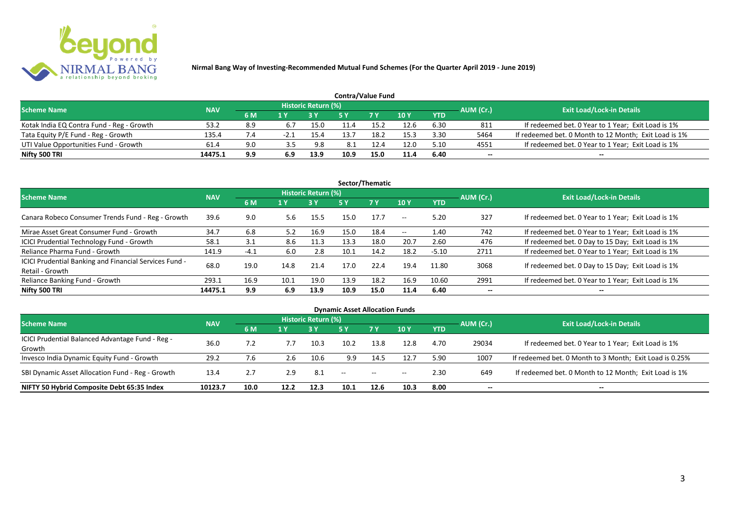

| <b>Contra/Value Fund</b>                  |            |            |      |                     |      |            |      |            |           |                                                       |  |  |  |
|-------------------------------------------|------------|------------|------|---------------------|------|------------|------|------------|-----------|-------------------------------------------------------|--|--|--|
| <b>Scheme Name</b>                        | <b>NAV</b> |            |      | Historic Return (%) |      |            |      |            | AUM (Cr.) | <b>Exit Load/Lock-in Details</b>                      |  |  |  |
|                                           |            | 6 M        | 1 Y  |                     |      | <b>7 Y</b> | 10Y  | <b>YTD</b> |           |                                                       |  |  |  |
| Kotak India EQ Contra Fund - Reg - Growth | 53.2       | 8.9        |      | 15.0                |      |            | 12.6 | 6.30       | 811       | If redeemed bet. 0 Year to 1 Year; Exit Load is 1%    |  |  |  |
| Tata Equity P/E Fund - Reg - Growth       | 135.4      | $\sqrt{4}$ | -2.1 | 15.4                | 13.7 | 18.2       | 15.3 | 3.30       | 5464      | If redeemed bet. 0 Month to 12 Month; Exit Load is 1% |  |  |  |
| UTI Value Opportunities Fund - Growth     | 61.4       | 9.0        | 3.5  | 9.8                 | 8.1  |            | 12.0 | 5.10       | 4551      | If redeemed bet. 0 Year to 1 Year; Exit Load is 1%    |  |  |  |
| Nifty 500 TRI                             | 14475.1    | 9.9        | 6.9  | 13.9                | 10.9 | 15.0       | 11.4 | 6.40       | $- -$     | $- -$                                                 |  |  |  |

| Sector/Thematic                                                           |            |        |      |                            |      |           |                          |            |           |                                                    |  |  |  |
|---------------------------------------------------------------------------|------------|--------|------|----------------------------|------|-----------|--------------------------|------------|-----------|----------------------------------------------------|--|--|--|
| <b>Scheme Name</b>                                                        | <b>NAV</b> |        |      | <b>Historic Return (%)</b> |      |           |                          |            | AUM (Cr.) | <b>Exit Load/Lock-in Details</b>                   |  |  |  |
|                                                                           |            | 6 M    | 1 Y  | <b>3 Y</b>                 | 5 Y  | <b>7Y</b> | <b>10Y</b>               | <b>YTD</b> |           |                                                    |  |  |  |
| Canara Robeco Consumer Trends Fund - Reg - Growth                         | 39.6       | 9.0    | 5.6  | 15.5                       | 15.0 | 17.7      | $\sim$ $\sim$            | 5.20       | 327       | If redeemed bet. 0 Year to 1 Year; Exit Load is 1% |  |  |  |
| Mirae Asset Great Consumer Fund - Growth                                  | 34.7       | 6.8    | 5.2  | 16.9                       | 15.0 | 18.4      | $\overline{\phantom{a}}$ | 1.40       | 742       | If redeemed bet. 0 Year to 1 Year; Exit Load is 1% |  |  |  |
| <b>ICICI Prudential Technology Fund - Growth</b>                          | 58.1       | 3.1    | 8.6  | 11.3                       | 13.3 | 18.0      | 20.7                     | 2.60       | 476       | If redeemed bet. 0 Day to 15 Day; Exit Load is 1%  |  |  |  |
| Reliance Pharma Fund - Growth                                             | 141.9      | $-4.1$ | 6.0  | 2.8                        | 10.1 | 14.2      | 18.2                     | $-5.10$    | 2711      | If redeemed bet. 0 Year to 1 Year; Exit Load is 1% |  |  |  |
| ICICI Prudential Banking and Financial Services Fund -<br>Retail - Growth | 68.0       | 19.0   | 14.8 | 21.4                       | 17.0 | 22.4      | 19.4                     | 11.80      | 3068      | If redeemed bet. 0 Day to 15 Day; Exit Load is 1%  |  |  |  |
| Reliance Banking Fund - Growth                                            | 293.1      | 16.9   | 10.1 | 19.0                       | 13.9 | 18.2      | 16.9                     | 10.60      | 2991      | If redeemed bet. 0 Year to 1 Year; Exit Load is 1% |  |  |  |
| Nifty 500 TRI                                                             | 14475.1    | 9.9    | 6.9  | 13.9                       | 10.9 | 15.0      | 11.4                     | 6.40       | $- -$     | $\overline{\phantom{a}}$                           |  |  |  |

| <b>Dynamic Asset Allocation Funds</b>            |            |      |      |                            |                   |           |            |            |           |                                                         |  |  |
|--------------------------------------------------|------------|------|------|----------------------------|-------------------|-----------|------------|------------|-----------|---------------------------------------------------------|--|--|
| <b>Scheme Name</b>                               | <b>NAV</b> |      |      | <b>Historic Return (%)</b> |                   |           |            |            |           | <b>Exit Load/Lock-in Details</b>                        |  |  |
|                                                  |            | 6 M  | 1 Y  |                            | <b>5 Y</b>        | <b>7Y</b> | <b>10Y</b> | <b>YTD</b> | AUM (Cr.) |                                                         |  |  |
| ICICI Prudential Balanced Advantage Fund - Reg - |            | 7.2  |      | 10.3                       | 10.2              |           |            |            |           |                                                         |  |  |
| Growth                                           | 36.0       |      |      |                            |                   | 13.8      | 12.8       | 4.70       | 29034     | If redeemed bet. 0 Year to 1 Year; Exit Load is 1%      |  |  |
| Invesco India Dynamic Equity Fund - Growth       | 29.2       | 7.6  | 2.6  | 10.6                       | 9.9               | 14.5      | 12.7       | 5.90       | 1007      | If redeemed bet. 0 Month to 3 Month; Exit Load is 0.25% |  |  |
| SBI Dynamic Asset Allocation Fund - Reg - Growth | 13.4       | 2.7  | 2.9  | 8.1                        | $\hspace{0.05cm}$ | $\sim$    | $- -$      | 2.30       | 649       | If redeemed bet. 0 Month to 12 Month; Exit Load is 1%   |  |  |
| NIFTY 50 Hybrid Composite Debt 65:35 Index       | 10123.7    | 10.0 | 12.2 | 12.3                       | 10.1              | 12.6      | 10.3       | 8.00       | --        | $- -$                                                   |  |  |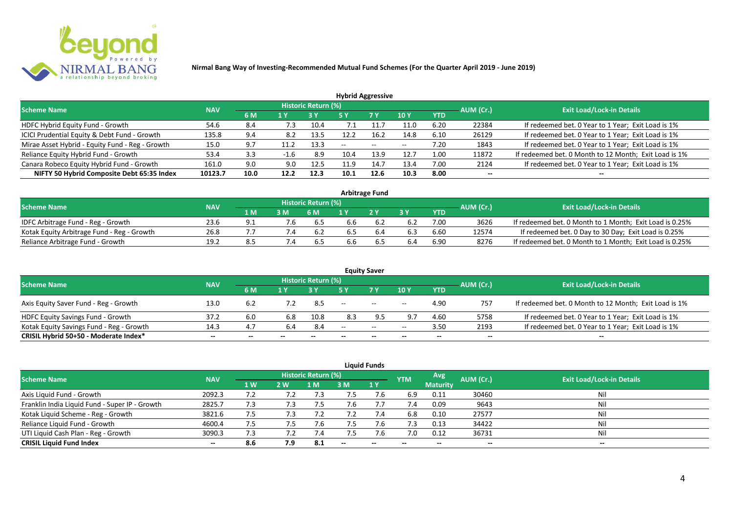

| <b>Hybrid Aggressive</b>                        |            |      |        |                     |      |               |            |            |           |                                                       |  |  |  |
|-------------------------------------------------|------------|------|--------|---------------------|------|---------------|------------|------------|-----------|-------------------------------------------------------|--|--|--|
| <b>Scheme Name</b>                              | <b>NAV</b> |      |        | Historic Return (%) |      |               |            |            | AUM (Cr.) | <b>Exit Load/Lock-in Details</b>                      |  |  |  |
|                                                 |            | 6 M  | 1 Y    |                     | 5 Y  | 7 Y           | <b>10Y</b> | <b>YTD</b> |           |                                                       |  |  |  |
| HDFC Hybrid Equity Fund - Growth                | 54.6       | 8.4  | 7.3    | 10.4                |      |               | 11.0       | 6.20       | 22384     | If redeemed bet. 0 Year to 1 Year; Exit Load is 1%    |  |  |  |
| ICICI Prudential Equity & Debt Fund - Growth    | 135.8      | 9.4  | 8.2    | 13.5                |      | 16.2          | 14.8       | 6.10       | 26129     | If redeemed bet. 0 Year to 1 Year; Exit Load is 1%    |  |  |  |
| Mirae Asset Hybrid - Equity Fund - Reg - Growth | 15.0       | 9.7  |        | 13.3                | --   | $\sim$ $\sim$ | $- -$      | 7.20       | 1843      | If redeemed bet. 0 Year to 1 Year; Exit Load is 1%    |  |  |  |
| Reliance Equity Hybrid Fund - Growth            | 53.4       | 3.3  | $-1.6$ | 8.9                 | 10.4 | 13.9          | 12.7       | 1.00       | 11872     | If redeemed bet. 0 Month to 12 Month; Exit Load is 1% |  |  |  |
| Canara Robeco Equity Hybrid Fund - Growth       | 161.0      | 9.0  | 9.0    | 12.5                | 11.9 | 14.7          | 13.4       | 7.00       | 2124      | If redeemed bet. 0 Year to 1 Year; Exit Load is 1%    |  |  |  |
| NIFTY 50 Hybrid Composite Debt 65:35 Index      | 10123.7    | 10.0 | 12.2   | 12.3                | 10.1 | 12.6          | 10.3       | 8.00       | $- -$     |                                                       |  |  |  |
|                                                 |            |      |        |                     |      |               |            |            |           |                                                       |  |  |  |

| <b>Arbitrage Fund</b>                      |            |       |  |                            |     |     |     |            |           |                                                         |  |  |  |
|--------------------------------------------|------------|-------|--|----------------------------|-----|-----|-----|------------|-----------|---------------------------------------------------------|--|--|--|
| <b>Scheme Name</b>                         | <b>NAV</b> |       |  | <b>Historic Return (%)</b> |     |     |     |            | AUM (Cr.) | <b>Exit Load/Lock-in Details</b>                        |  |  |  |
|                                            |            | 1 M . |  | 6 M                        |     | 2V  |     | <b>YTD</b> |           |                                                         |  |  |  |
| IDFC Arbitrage Fund - Reg - Growth         | 23.6       | Q 1   |  | 6.5                        | 6.6 |     | 6.2 | 7.00       | 3626      | If redeemed bet. 0 Month to 1 Month; Exit Load is 0.25% |  |  |  |
| Kotak Equity Arbitrage Fund - Reg - Growth | 26.8       |       |  | 6.2                        | b.5 | 6.4 | 6.3 | 6.60       | 12574     | If redeemed bet. 0 Day to 30 Day; Exit Load is 0.25%    |  |  |  |
| Reliance Arbitrage Fund - Growth           | 19.2       | 8.5   |  | 6.5                        | 5.6 |     | 6.4 | 6.90       | 8276      | If redeemed bet. 0 Month to 1 Month; Exit Load is 0.25% |  |  |  |

|                                          |            |     |     |                     |                          | <b>Equity Saver</b> |       |            |           |                                                       |
|------------------------------------------|------------|-----|-----|---------------------|--------------------------|---------------------|-------|------------|-----------|-------------------------------------------------------|
| <b>Scheme Name</b>                       | <b>NAV</b> |     |     | Historic Return (%) |                          |                     |       |            | AUM (Cr.) | <b>Exit Load/Lock-in Details</b>                      |
|                                          |            | 6 M | 1 V |                     |                          | <b>7Y</b>           | 10Y   | <b>YTD</b> |           |                                                       |
| Axis Equity Saver Fund - Reg - Growth    | 13.0       | 6.2 |     | 8.5                 | $\overline{\phantom{a}}$ | $\sim$              | $- -$ | 4.90       | 757       | If redeemed bet. 0 Month to 12 Month; Exit Load is 1% |
| HDFC Equity Savings Fund - Growth        | 37.2       | 6.0 | 6.8 | 10.8                | 8.3                      |                     | 9.7   | 4.60       | 5758      | If redeemed bet. 0 Year to 1 Year; Exit Load is 1%    |
| Kotak Equity Savings Fund - Reg - Growth | 14.3       | 4.7 |     | 8.4                 | $-$                      | $- -$               | $- -$ | 3.50       | 2193      | If redeemed bet. 0 Year to 1 Year; Exit Load is 1%    |
| CRISIL Hybrid 50+50 - Moderate Index*    | $- -$      | --  | $-$ | $- -$               | --                       | --                  | $- -$ | $- -$      | $-$       | $- -$                                                 |

| <b>Liquid Funds</b>                            |            |           |               |                            |        |     |            |                 |           |                                  |  |  |  |
|------------------------------------------------|------------|-----------|---------------|----------------------------|--------|-----|------------|-----------------|-----------|----------------------------------|--|--|--|
| <b>Scheme Name</b>                             | <b>NAV</b> |           |               | <b>Historic Return (%)</b> |        |     | <b>YTM</b> | Avg             | AUM (Cr.) | <b>Exit Load/Lock-in Details</b> |  |  |  |
|                                                |            | <b>1W</b> | 2W            | 1 M                        | 3 M    | 1Y  |            | <b>Maturity</b> |           |                                  |  |  |  |
| Axis Liquid Fund - Growth                      | 2092.3     | 7.2       |               |                            | , א    | 7.6 | 6.9        | 0.11            | 30460     | Nil                              |  |  |  |
| Franklin India Liquid Fund - Super IP - Growth | 2825.7     | 7.3       | $^{\prime}.3$ | 7.5                        | 7.6    |     | 7.4        | 0.09            | 9643      | Nil                              |  |  |  |
| Kotak Liquid Scheme - Reg - Growth             | 3821.6     | 7.5       | 7.3           |                            | 7.2    | 7.4 | 6.8        | 0.10            | 27577     | Nil                              |  |  |  |
| Reliance Liquid Fund - Growth                  | 4600.4     | 7.5       | ט.            | 7.6                        | 7.5    | 7.6 | 7.3        | 0.13            | 34422     | Nil                              |  |  |  |
| UTI Liquid Cash Plan - Reg - Growth            | 3090.3     | 7.3       |               | 7.4                        | כ.י    | 7.Ь | 7.0        | 0.12            | 36731     | Nil                              |  |  |  |
| <b>CRISIL Liquid Fund Index</b>                | $- -$      | 8.6       | 7.9           | -8.1                       | $\sim$ | $-$ | $- -$      | $- -$           | $- -$     | $\sim$                           |  |  |  |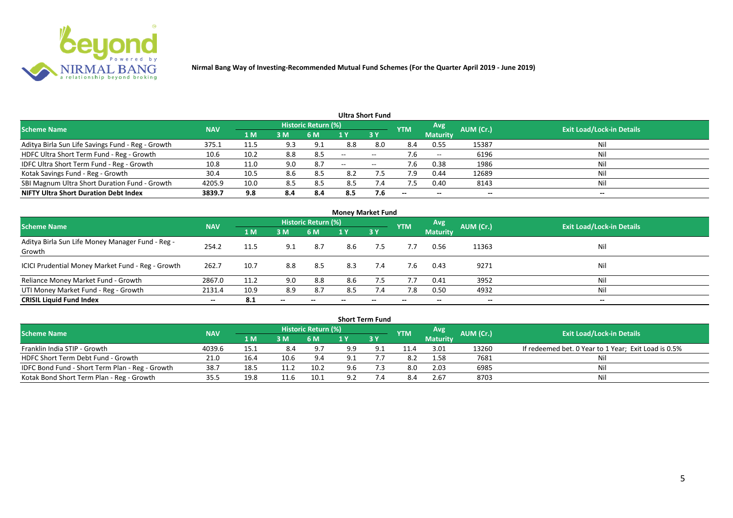

| <b>Ultra Short Fund</b>                           |            |                |     |                            |                          |                          |                          |                          |           |                                  |  |  |  |
|---------------------------------------------------|------------|----------------|-----|----------------------------|--------------------------|--------------------------|--------------------------|--------------------------|-----------|----------------------------------|--|--|--|
| <b>Scheme Name</b>                                | <b>NAV</b> |                |     | <b>Historic Return (%)</b> |                          |                          | <b>YTM</b>               | Avg                      | AUM (Cr.) | <b>Exit Load/Lock-in Details</b> |  |  |  |
|                                                   |            | 1 <sub>M</sub> | 3M  | 6 M                        |                          | 3Y                       |                          | <b>Maturity</b>          |           |                                  |  |  |  |
| Aditya Birla Sun Life Savings Fund - Reg - Growth | 375.1      | 11.5           | 9.3 | 9.1                        | 8.8                      | 8.0                      | 8.4                      | 0.55                     | 15387     | Nil                              |  |  |  |
| HDFC Ultra Short Term Fund - Reg - Growth         | 10.6       | 10.2           | 8.8 | 8.5                        | $\overline{\phantom{a}}$ | $-$                      |                          | $- -$                    | 6196      | Nil                              |  |  |  |
| IDFC Ultra Short Term Fund - Reg - Growth         | 10.8       | 11.0           | 9.0 | -8.7                       | $\overline{\phantom{a}}$ | $\overline{\phantom{a}}$ | 7.6                      | 0.38                     | 1986      | Nil                              |  |  |  |
| Kotak Savings Fund - Reg - Growth                 | 30.4       | 10.5           | 8.6 | 8.5                        | 8.2                      | $7.5^{\circ}$            | 7.9                      | 0.44                     | 12689     | Nil                              |  |  |  |
| SBI Magnum Ultra Short Duration Fund - Growth     | 4205.9     | 10.0           | 8.5 | 8.5                        | 8.5                      | 7.4                      | 7.5                      | 0.40                     | 8143      | Nil                              |  |  |  |
| <b>NIFTY Ultra Short Duration Debt Index</b>      | 3839.7     | 9.8            | 8.4 | 8.4                        | 8.5                      | 7.6                      | $\overline{\phantom{a}}$ | $\overline{\phantom{a}}$ | --        | $- -$                            |  |  |  |

| <b>Money Market Fund</b>                                   |            |      |       |                     |     |     |            |                 |           |                                  |  |  |  |
|------------------------------------------------------------|------------|------|-------|---------------------|-----|-----|------------|-----------------|-----------|----------------------------------|--|--|--|
| <b>Scheme Name</b>                                         | <b>NAV</b> |      |       | Historic Return (%) |     |     | <b>YTM</b> | Avg             | AUM (Cr.) | <b>Exit Load/Lock-in Details</b> |  |  |  |
|                                                            |            | 1 M  | 3 M   | 6 M                 | 1 Y | 3Y  |            | <b>Maturity</b> |           |                                  |  |  |  |
| Aditya Birla Sun Life Money Manager Fund - Reg -<br>Growth | 254.2      | 11.5 | 9.1   | 8.7                 | 8.6 | 7.5 | 7.7        | 0.56            | 11363     | Nil                              |  |  |  |
| ICICI Prudential Money Market Fund - Reg - Growth          | 262.7      | 10.7 | 8.8   | 8.5                 | 8.3 | 7.4 | 7.6        | 0.43            | 9271      | Nil                              |  |  |  |
| Reliance Money Market Fund - Growth                        | 2867.0     | 11.2 | 9.0   | 8.8                 | 8.6 | 7.5 | 7.7        | 0.41            | 3952      | Nil                              |  |  |  |
| UTI Money Market Fund - Reg - Growth                       | 2131.4     | 10.9 | 8.9   | 8.7                 | 8.5 | 7.4 | 7.8        | 0.50            | 4932      | Nil                              |  |  |  |
| <b>CRISIL Liquid Fund Index</b>                            | $- -$      | 8.1  | $- -$ |                     |     |     |            | --              | $- -$     | $- -$                            |  |  |  |

| <b>Short Term Fund</b>                          |            |       |      |                            |     |             |            |                 |           |                                                      |  |  |  |
|-------------------------------------------------|------------|-------|------|----------------------------|-----|-------------|------------|-----------------|-----------|------------------------------------------------------|--|--|--|
| <b>Scheme Name</b>                              | <b>NAV</b> |       |      | <b>Historic Return (%)</b> |     |             | <b>YTM</b> | Avg             | AUM (Cr.) | <b>Exit Load/Lock-in Details</b>                     |  |  |  |
|                                                 |            | 1 M / | 3 M  | 6 M                        |     | <b>73 Y</b> |            | <b>Maturity</b> |           |                                                      |  |  |  |
| Franklin India STIP - Growth                    | 4039.6     | 15.1  | 8.4  | 9.7                        | 9.9 |             | 11.4       | 3.01            | 13260     | If redeemed bet. 0 Year to 1 Year; Exit Load is 0.5% |  |  |  |
| HDFC Short Term Debt Fund - Growth              | 21.0       | 16.4  | 10.6 | 9.4                        | 9.1 |             | 8.2        | 1.58            | 7681      | Nil                                                  |  |  |  |
| IDFC Bond Fund - Short Term Plan - Reg - Growth | 38.7       | 18.5  |      | 10.2                       | 9.6 |             | 8.0        | 2.03            | 6985      | Nil                                                  |  |  |  |
| Kotak Bond Short Term Plan - Reg - Growth       | 35.5       | 19.8  |      | 10.1                       | ດ າ |             |            | 2.67            | 8703      | Nil                                                  |  |  |  |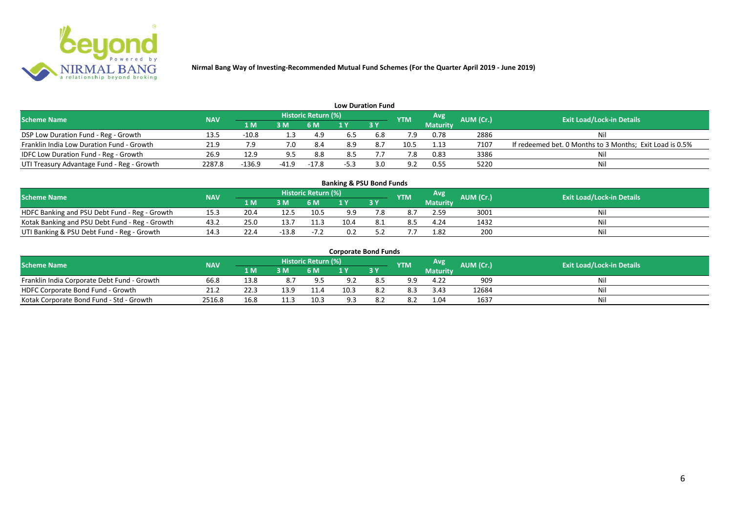

| <b>Low Duration Fund</b>                   |            |          |         |                            |        |           |            |                 |           |                                                          |  |  |  |
|--------------------------------------------|------------|----------|---------|----------------------------|--------|-----------|------------|-----------------|-----------|----------------------------------------------------------|--|--|--|
| <b>Scheme Name</b>                         | <b>NAV</b> |          |         | <b>Historic Return (%)</b> |        |           | <b>YTM</b> | Avg             | AUM (Cr.) | <b>Exit Load/Lock-in Details</b>                         |  |  |  |
|                                            |            | 1 M      | 3M      | <b>6 M</b>                 |        | <b>3Y</b> |            | <b>Maturity</b> |           |                                                          |  |  |  |
| DSP Low Duration Fund - Reg - Growth       | 13.5       | -10.8    | 1.3     | 4.9                        | 6.5    | 6.8       |            | 0.78            | 2886      | Nil                                                      |  |  |  |
| Franklin India Low Duration Fund - Growth  | 21.9       |          | 7.0     | -8.4                       | 8.9    |           | 10.5       | 1.13            | 7107      | If redeemed bet. 0 Months to 3 Months; Exit Load is 0.5% |  |  |  |
| IDFC Low Duration Fund - Reg - Growth      | 26.9       | 12.9     |         | 8.8                        | 8.5    |           |            | 0.83            | 3386      | Nil                                                      |  |  |  |
| UTI Treasury Advantage Fund - Reg - Growth | 2287.8     | $-136.9$ | $-41.9$ | $-17.8$                    | $-5.3$ |           | . വ        | 0.55            | 5220      | Nil                                                      |  |  |  |

#### 1 M 3 M 6 M 1 Y 3 Y 20.4 12.5 10.5 9.9 7. NOFC Banking and PSU Debt Fund - Reg - Growth 15.3 20.4 12.5 10.5 9.9 7.8 8.7 2.59 3001 Nil<br>
Kotak Banking and PSU Debt Fund - Reg - Growth 43.2 25.0 13.7 11.3 10.4 8.1 8.5 4.24 1432 Nil Kotak Banking and PSU Debt Fund - Reg - Growth 43.2 25.0 13.7 11.3 10.4 8.1 8.5 4.24 1432<br>
UTI Banking & PSU Debt Fund - Reg - Growth 14.3 22.4 -13.8 -7.2 0.2 5.2 7.7 1.82 200 UTI Banking & PSU Debt Fund - Reg - Growth 14.3 22.4 -13.8 -7.2 0.2 5.2 7.7 1.82 200 Nil **Banking & PSU Bond Funds Scheme Name NAV AUM AUM AUM AUM AUM AUM AUM AUM AUM Exit Load/Lock-in Details**<br>**AUM AUM AUM AUM AUM AUM AUM AUM Exit Load/Lock-in Details Historic Return (%) Maturity**

| <b>Corporate Bond Funds</b> |  |
|-----------------------------|--|
|-----------------------------|--|

| <b>Scheme Name</b>                          | <b>NAV</b> |      |      | <b>Historic Return (%)</b> |     |      | <b>YTM</b> | Avg             | AUM (Cr.) | <b>Exit Load/Lock-in Details</b> |
|---------------------------------------------|------------|------|------|----------------------------|-----|------|------------|-----------------|-----------|----------------------------------|
|                                             |            | 1 M. | 3 M  | 6 M                        | . . | 2V   |            | <b>Maturity</b> |           |                                  |
| Franklin India Corporate Debt Fund - Growth | 66.8       | 13.8 |      | 9.5                        |     | 8.5  | 9.9        | 4.22            | 909       | Ni                               |
| HDFC Corporate Bond Fund - Growth           | 21.2       | 22.3 | 12 Q | 11.4                       |     | 8.2  | 8.3        | 3.43            | 12684     | Mil                              |
| Kotak Corporate Bond Fund - Std - Growth    | 2516.8     |      |      | 10.3                       |     | -8.2 | 8.2        | 1.04            | 1637      | Nii                              |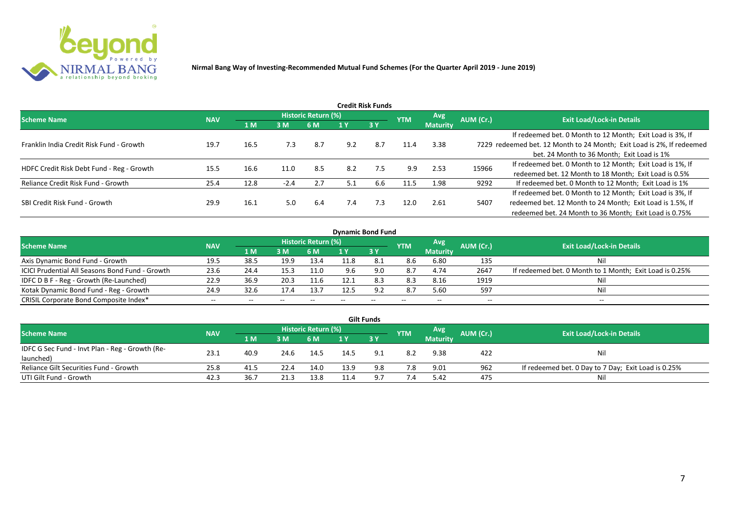

| Credit Risk Funds                         |            |      |        |                     |     |           |            |                               |           |                                                                       |  |  |  |
|-------------------------------------------|------------|------|--------|---------------------|-----|-----------|------------|-------------------------------|-----------|-----------------------------------------------------------------------|--|--|--|
| <b>Scheme Name</b>                        | <b>NAV</b> |      |        | Historic Return (%) |     |           | <b>YTM</b> | <b>Avg</b><br><b>Maturity</b> | AUM (Cr.) | <b>Exit Load/Lock-in Details</b>                                      |  |  |  |
|                                           |            | 1 M  | 3M     | 6 M                 |     | <b>3Y</b> |            |                               |           |                                                                       |  |  |  |
|                                           |            |      |        |                     |     |           |            |                               |           | If redeemed bet. 0 Month to 12 Month; Exit Load is 3%, If             |  |  |  |
| Franklin India Credit Risk Fund - Growth  | 19.7       | 16.5 | 7.3    | 8.7                 | 9.2 | 8.7       | 11.4       | 3.38                          |           | 7229 redeemed bet. 12 Month to 24 Month; Exit Load is 2%, If redeemed |  |  |  |
|                                           |            |      |        |                     |     |           |            |                               |           | bet. 24 Month to 36 Month; Exit Load is 1%                            |  |  |  |
| HDFC Credit Risk Debt Fund - Reg - Growth | 15.5       | 16.6 | 11.0   | 8.5                 | 8.2 | 7.5       | 9.9        | 2.53                          | 15966     | If redeemed bet. 0 Month to 12 Month; Exit Load is 1%, If             |  |  |  |
|                                           |            |      |        |                     |     |           |            |                               |           | redeemed bet. 12 Month to 18 Month; Exit Load is 0.5%                 |  |  |  |
| Reliance Credit Risk Fund - Growth        | 25.4       | 12.8 | $-2.4$ | 2.7                 | 5.1 | 6.6       | 11.5       | 1.98                          | 9292      | If redeemed bet. 0 Month to 12 Month; Exit Load is 1%                 |  |  |  |
|                                           |            |      |        |                     |     |           |            |                               |           | If redeemed bet. 0 Month to 12 Month; Exit Load is 3%, If             |  |  |  |
| SBI Credit Risk Fund - Growth             | 29.9       | 16.1 | 5.0    | 6.4                 | 7.4 | 7.3       | 12.0       | 2.61                          | 5407      | redeemed bet. 12 Month to 24 Month; Exit Load is 1.5%, If             |  |  |  |
|                                           |            |      |        |                     |     |           |            |                               |           | redeemed bet. 24 Month to 36 Month; Exit Load is 0.75%                |  |  |  |

| <b>Dynamic Bond Fund</b>                        |            |      |       |                            |     |       |            |                 |           |                                                         |  |  |  |
|-------------------------------------------------|------------|------|-------|----------------------------|-----|-------|------------|-----------------|-----------|---------------------------------------------------------|--|--|--|
| <b>Scheme Name</b>                              | <b>NAV</b> |      |       | <b>Historic Return (%)</b> |     |       | <b>YTM</b> | Avg             | AUM (Cr.) | <b>Exit Load/Lock-in Details</b>                        |  |  |  |
|                                                 |            | 1 M  | 3M    | 6 M                        |     | 3Y    |            | <b>Maturity</b> |           |                                                         |  |  |  |
| Axis Dynamic Bond Fund - Growth                 | 19.5       | 38.5 | 19.9  | 13.4                       |     |       | 8.6        | 6.80            | 135       | Nil                                                     |  |  |  |
| ICICI Prudential All Seasons Bond Fund - Growth | 23.6       | 24.4 | 15.3  | 11.0                       | 9.6 | 9.0   | 8.7        | 4.74            | 2647      | If redeemed bet. 0 Month to 1 Month; Exit Load is 0.25% |  |  |  |
| IDFC D B F - Reg - Growth (Re-Launched)         | 22.9       | 36.9 | 20.3  |                            |     | 8.3   | 8.3        | 8.16            | 1919      | Nil                                                     |  |  |  |
| Kotak Dynamic Bond Fund - Reg - Growth          | 24.9       | 32.6 | 17.4  | 13.7                       |     | 9.2   | 8.7        | 5.60            | 597       | Nil                                                     |  |  |  |
| CRISIL Corporate Bond Composite Index*          | $- -$      | --   | $- -$ |                            |     | $- -$ | $-$        | --              | --        | $- -$                                                   |  |  |  |

| <b>Gilt Funds</b>                               |            |      |      |                     |      |      |            |                 |           |                                                     |  |  |  |
|-------------------------------------------------|------------|------|------|---------------------|------|------|------------|-----------------|-----------|-----------------------------------------------------|--|--|--|
| <b>Scheme Name</b>                              | <b>NAV</b> |      |      | Historic Return (%) |      |      | <b>YTM</b> | Avg             | AUM (Cr.) | <b>Exit Load/Lock-in Details</b>                    |  |  |  |
|                                                 |            | 1 M  | 3M   | 6 M.                | 1 Y  | 73 Y |            | <b>Maturity</b> |           |                                                     |  |  |  |
| IDFC G Sec Fund - Invt Plan - Reg - Growth (Re- | 23.1       | 40.9 | 24.6 | 14.5                | 14.5 |      | 8.2        | 9.38            | 422       | Nil                                                 |  |  |  |
| launched)                                       |            |      |      |                     |      |      |            |                 |           |                                                     |  |  |  |
| Reliance Gilt Securities Fund - Growth          | 25.8       | 41.5 | 22.4 | 14.0                | 13.9 | 9.8  | 7.8        | 9.01            | 962       | If redeemed bet. 0 Day to 7 Day; Exit Load is 0.25% |  |  |  |
| UTI Gilt Fund - Growth                          | 42.3       | 36.7 |      | 13.8                |      | a 7  | 7.4        | 5.42            | 475       | Nil                                                 |  |  |  |